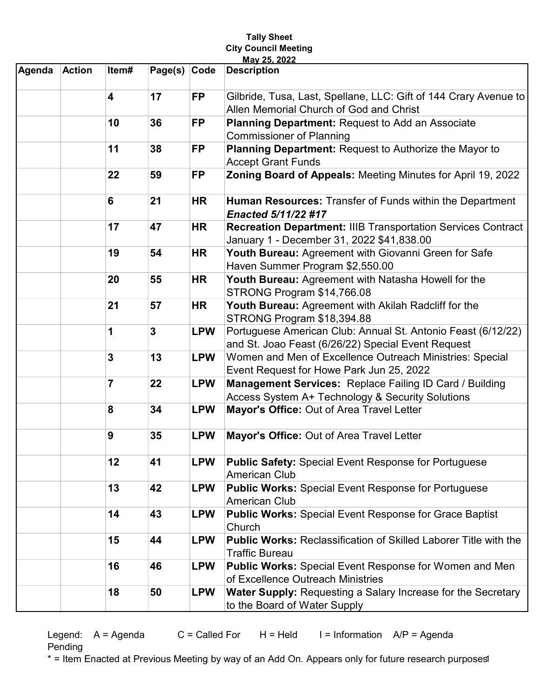## Tally Sheet City Council Meeting May 25, 2022

| Agenda | <b>Action</b> | Item#                   | Page(s) Code   |            | <b>Description</b>                                                                                                 |
|--------|---------------|-------------------------|----------------|------------|--------------------------------------------------------------------------------------------------------------------|
|        |               | $\overline{\mathbf{4}}$ | 17             | <b>FP</b>  | Gilbride, Tusa, Last, Spellane, LLC: Gift of 144 Crary Avenue to<br>Allen Memorial Church of God and Christ        |
|        |               | 10                      | 36             | <b>FP</b>  |                                                                                                                    |
|        |               |                         |                |            | Planning Department: Request to Add an Associate<br><b>Commissioner of Planning</b>                                |
|        |               | 11                      | 38             | <b>FP</b>  | Planning Department: Request to Authorize the Mayor to                                                             |
|        |               |                         |                |            | <b>Accept Grant Funds</b>                                                                                          |
|        |               | 22                      | 59             | <b>FP</b>  | Zoning Board of Appeals: Meeting Minutes for April 19, 2022                                                        |
|        |               | 6                       | 21             | <b>HR</b>  | Human Resources: Transfer of Funds within the Department<br><b>Enacted 5/11/22 #17</b>                             |
|        |               | 17                      | 47             | <b>HR</b>  | <b>Recreation Department: IIIB Transportation Services Contract</b><br>January 1 - December 31, 2022 \$41,838.00   |
|        |               | 19                      | 54             | <b>HR</b>  | Youth Bureau: Agreement with Giovanni Green for Safe<br>Haven Summer Program \$2,550.00                            |
|        |               | 20                      | 55             | <b>HR</b>  | Youth Bureau: Agreement with Natasha Howell for the<br>STRONG Program \$14,766.08                                  |
|        |               | 21                      | 57             | <b>HR</b>  | Youth Bureau: Agreement with Akilah Radcliff for the<br>STRONG Program \$18,394.88                                 |
|        |               | 1                       | $\overline{3}$ | <b>LPW</b> | Portuguese American Club: Annual St. Antonio Feast (6/12/22)<br>and St. Joao Feast (6/26/22) Special Event Request |
|        |               | $\overline{3}$          | 13             | <b>LPW</b> | Women and Men of Excellence Outreach Ministries: Special                                                           |
|        |               |                         |                |            | Event Request for Howe Park Jun 25, 2022                                                                           |
|        |               | $\overline{7}$          | 22             | <b>LPW</b> | Management Services: Replace Failing ID Card / Building                                                            |
|        |               |                         |                |            | Access System A+ Technology & Security Solutions                                                                   |
|        |               | 8                       | 34             | <b>LPW</b> | Mayor's Office: Out of Area Travel Letter                                                                          |
|        |               | 9                       | 35             | <b>LPW</b> | Mayor's Office: Out of Area Travel Letter                                                                          |
|        |               | 12                      | 41             | <b>LPW</b> | <b>Public Safety: Special Event Response for Portuguese</b><br><b>American Club</b>                                |
|        |               | 13                      | 42             | <b>LPW</b> | <b>Public Works: Special Event Response for Portuguese</b><br>American Club                                        |
|        |               | 14                      | 43             | <b>LPW</b> | <b>Public Works: Special Event Response for Grace Baptist</b><br>Church                                            |
|        |               | 15                      | 44             | <b>LPW</b> | <b>Public Works: Reclassification of Skilled Laborer Title with the</b><br>Traffic Bureau                          |
|        |               | 16                      | 46             | <b>LPW</b> | <b>Public Works: Special Event Response for Women and Men</b><br>of Excellence Outreach Ministries                 |
|        |               | 18                      | 50             | <b>LPW</b> | <b>Water Supply: Requesting a Salary Increase for the Secretary</b><br>to the Board of Water Supply                |

Legend:  $A = Agenda$   $C = Called For$   $H = Held$   $I = Information$   $AP = Agenda$ Pending

\* = Item Enacted at Previous Meeting by way of an Add On. Appears only for future research purposes